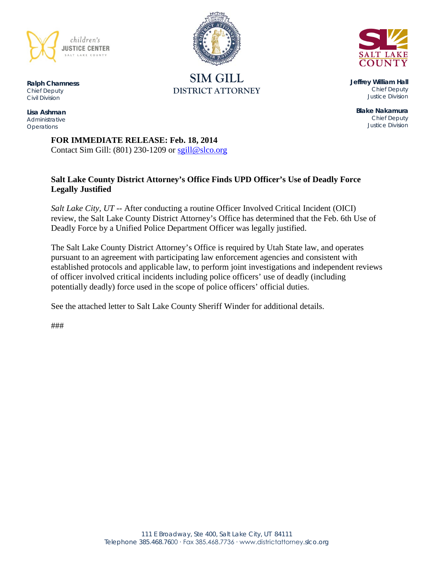

**SIM GILL DISTRICT ATTORNEY**

**Jeffrey William Hall** *Chief Deputy Justice Division*

**Blake Nakamura** *Chief Deputy Justice Division*

**Ralph Chamness**  *Chief Deputy Civil Division*

**Lisa Ashman** *Administrative Operations*

> **FOR IMMEDIATE RELEASE: Feb. 18, 2014** Contact Sim Gill: (801) 230-1209 or [sgill@slco.org](mailto:sgill@slco.org)

# **Salt Lake County District Attorney's Office Finds UPD Officer's Use of Deadly Force Legally Justified**

*Salt Lake City, UT* -- After conducting a routine Officer Involved Critical Incident (OICI) review, the Salt Lake County District Attorney's Office has determined that the Feb. 6th Use of Deadly Force by a Unified Police Department Officer was legally justified.

The Salt Lake County District Attorney's Office is required by Utah State law, and operates pursuant to an agreement with participating law enforcement agencies and consistent with established protocols and applicable law, to perform joint investigations and independent reviews of officer involved critical incidents including police officers' use of deadly (including potentially deadly) force used in the scope of police officers' official duties.

See the attached letter to Salt Lake County Sheriff Winder for additional details.

###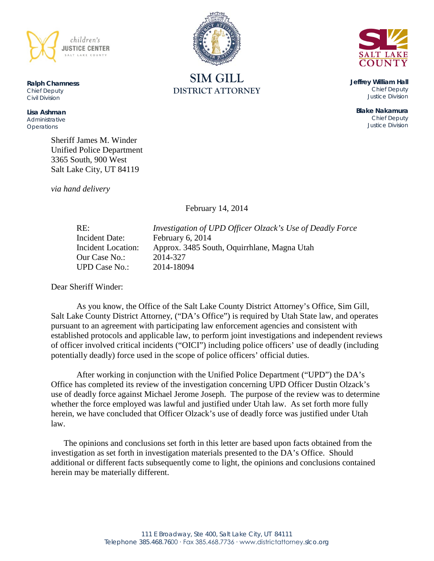

**Ralph Chamness**  *Chief Deputy Civil Division*

**Lisa Ashman** *Administrative Operations*

> Sheriff James M. Winder Unified Police Department 3365 South, 900 West Salt Lake City, UT 84119

*via hand delivery*

February 14, 2014

Our Case No.: 2014-327 UPD Case No.: 2014-18094

RE: *Investigation of UPD Officer Olzack's Use of Deadly Force* Incident Date: February 6, 2014 Incident Location: Approx. 3485 South, Oquirrhlane, Magna Utah

Dear Sheriff Winder:

As you know, the Office of the Salt Lake County District Attorney's Office, Sim Gill, Salt Lake County District Attorney, ("DA's Office") is required by Utah State law, and operates pursuant to an agreement with participating law enforcement agencies and consistent with established protocols and applicable law, to perform joint investigations and independent reviews of officer involved critical incidents ("OICI") including police officers' use of deadly (including potentially deadly) force used in the scope of police officers' official duties.

After working in conjunction with the Unified Police Department ("UPD") the DA's Office has completed its review of the investigation concerning UPD Officer Dustin Olzack's use of deadly force against Michael Jerome Joseph. The purpose of the review was to determine whether the force employed was lawful and justified under Utah law. As set forth more fully herein, we have concluded that Officer Olzack's use of deadly force was justified under Utah law.

The opinions and conclusions set forth in this letter are based upon facts obtained from the investigation as set forth in investigation materials presented to the DA's Office. Should additional or different facts subsequently come to light, the opinions and conclusions contained herein may be materially different.





**Jeffrey William Hall** *Chief Deputy Justice Division*

> **Blake Nakamura** *Chief Deputy Justice Division*

**SIM GILL DISTRICT ATTORNEY**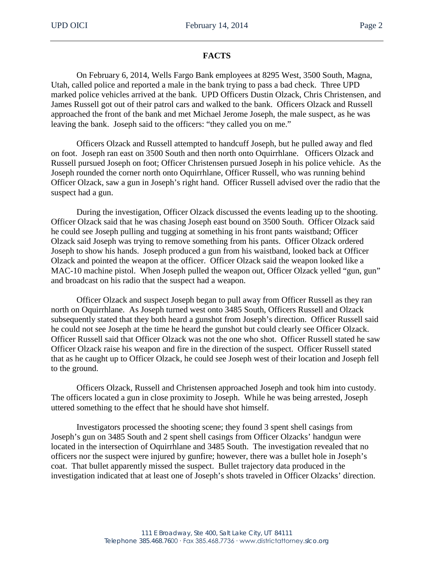#### **FACTS**

On February 6, 2014, Wells Fargo Bank employees at 8295 West, 3500 South, Magna, Utah, called police and reported a male in the bank trying to pass a bad check. Three UPD marked police vehicles arrived at the bank. UPD Officers Dustin Olzack, Chris Christensen, and James Russell got out of their patrol cars and walked to the bank. Officers Olzack and Russell approached the front of the bank and met Michael Jerome Joseph, the male suspect, as he was leaving the bank. Joseph said to the officers: "they called you on me."

Officers Olzack and Russell attempted to handcuff Joseph, but he pulled away and fled on foot. Joseph ran east on 3500 South and then north onto Oquirrhlane. Officers Olzack and Russell pursued Joseph on foot; Officer Christensen pursued Joseph in his police vehicle. As the Joseph rounded the corner north onto Oquirrhlane, Officer Russell, who was running behind Officer Olzack, saw a gun in Joseph's right hand. Officer Russell advised over the radio that the suspect had a gun.

During the investigation, Officer Olzack discussed the events leading up to the shooting. Officer Olzack said that he was chasing Joseph east bound on 3500 South. Officer Olzack said he could see Joseph pulling and tugging at something in his front pants waistband; Officer Olzack said Joseph was trying to remove something from his pants. Officer Olzack ordered Joseph to show his hands. Joseph produced a gun from his waistband, looked back at Officer Olzack and pointed the weapon at the officer. Officer Olzack said the weapon looked like a MAC-10 machine pistol. When Joseph pulled the weapon out, Officer Olzack yelled "gun, gun" and broadcast on his radio that the suspect had a weapon.

Officer Olzack and suspect Joseph began to pull away from Officer Russell as they ran north on Oquirrhlane. As Joseph turned west onto 3485 South, Officers Russell and Olzack subsequently stated that they both heard a gunshot from Joseph's direction. Officer Russell said he could not see Joseph at the time he heard the gunshot but could clearly see Officer Olzack. Officer Russell said that Officer Olzack was not the one who shot. Officer Russell stated he saw Officer Olzack raise his weapon and fire in the direction of the suspect. Officer Russell stated that as he caught up to Officer Olzack, he could see Joseph west of their location and Joseph fell to the ground.

Officers Olzack, Russell and Christensen approached Joseph and took him into custody. The officers located a gun in close proximity to Joseph. While he was being arrested, Joseph uttered something to the effect that he should have shot himself.

Investigators processed the shooting scene; they found 3 spent shell casings from Joseph's gun on 3485 South and 2 spent shell casings from Officer Olzacks' handgun were located in the intersection of Oquirrhlane and 3485 South. The investigation revealed that no officers nor the suspect were injured by gunfire; however, there was a bullet hole in Joseph's coat. That bullet apparently missed the suspect. Bullet trajectory data produced in the investigation indicated that at least one of Joseph's shots traveled in Officer Olzacks' direction.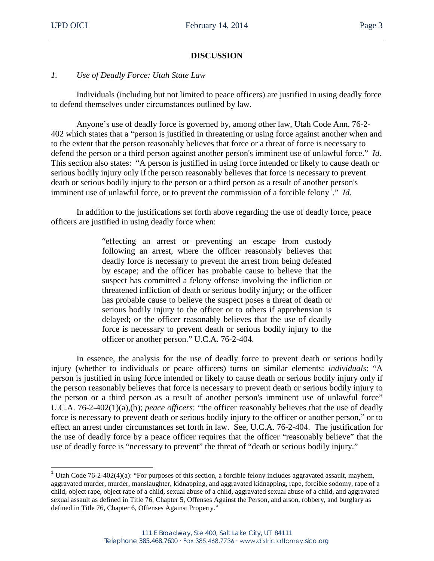# **DISCUSSION**

## *1. Use of Deadly Force: Utah State Law*

Individuals (including but not limited to peace officers) are justified in using deadly force to defend themselves under circumstances outlined by law.

Anyone's use of deadly force is governed by, among other law, Utah Code Ann. 76-2- 402 which states that a "person is justified in threatening or using force against another when and to the extent that the person reasonably believes that force or a threat of force is necessary to defend the person or a third person against another person's imminent use of unlawful force." *Id.* This section also states: "A person is justified in using force intended or likely to cause death or serious bodily injury only if the person reasonably believes that force is necessary to prevent death or serious bodily injury to the person or a third person as a result of another person's imminent use of unlawful force, or to prevent the commission of a forcible felony<sup>[1](#page-3-0)</sup>." *Id.* 

In addition to the justifications set forth above regarding the use of deadly force, peace officers are justified in using deadly force when:

> "effecting an arrest or preventing an escape from custody following an arrest, where the officer reasonably believes that deadly force is necessary to prevent the arrest from being defeated by escape; and the officer has probable cause to believe that the suspect has committed a felony offense involving the infliction or threatened infliction of death or serious bodily injury; or the officer has probable cause to believe the suspect poses a threat of death or serious bodily injury to the officer or to others if apprehension is delayed; or the officer reasonably believes that the use of deadly force is necessary to prevent death or serious bodily injury to the officer or another person." U.C.A. 76-2-404.

In essence, the analysis for the use of deadly force to prevent death or serious bodily injury (whether to individuals or peace officers) turns on similar elements: *individuals*: "A person is justified in using force intended or likely to cause death or serious bodily injury only if the person reasonably believes that force is necessary to prevent death or serious bodily injury to the person or a third person as a result of another person's imminent use of unlawful force" U.C.A. 76-2-402(1)(a),(b); *peace officers*: "the officer reasonably believes that the use of deadly force is necessary to prevent death or serious bodily injury to the officer or another person," or to effect an arrest under circumstances set forth in law. See, U.C.A. 76-2-404. The justification for the use of deadly force by a peace officer requires that the officer "reasonably believe" that the use of deadly force is "necessary to prevent" the threat of "death or serious bodily injury."

<span id="page-3-0"></span><sup>&</sup>lt;sup>1</sup> Utah Code 76-2-402(4)(a): "For purposes of this section, a forcible felony includes aggravated assault, mayhem, aggravated murder, murder, manslaughter, kidnapping, and aggravated kidnapping, rape, forcible sodomy, rape of a child, object rape, object rape of a child, sexual abuse of a child, aggravated sexual abuse of a child, and aggravated sexual assault as defined in Title 76, Chapter 5, Offenses Against the Person, and arson, robbery, and burglary as defined in Title 76, Chapter 6, Offenses Against Property."